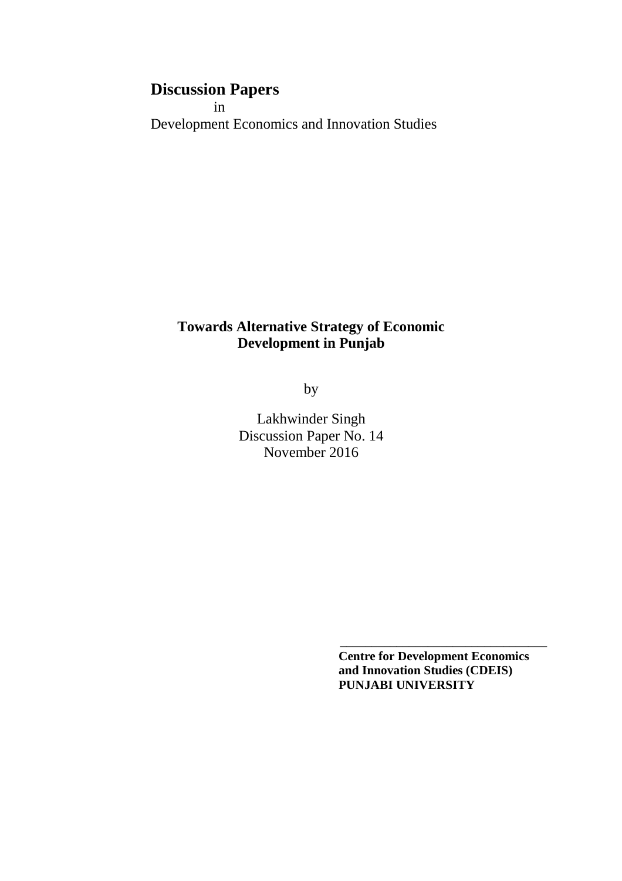# **Discussion Papers**

 in Development Economics and Innovation Studies

## **Towards Alternative Strategy of Economic Development in Punjab**

by

Lakhwinder Singh Discussion Paper No. 14 November 2016

> **Centre for Development Economics and Innovation Studies (CDEIS) PUNJABI UNIVERSITY**

**\_\_\_\_\_\_\_\_\_\_\_\_\_\_\_\_\_\_\_\_\_\_\_\_\_\_\_\_\_\_\_\_\_**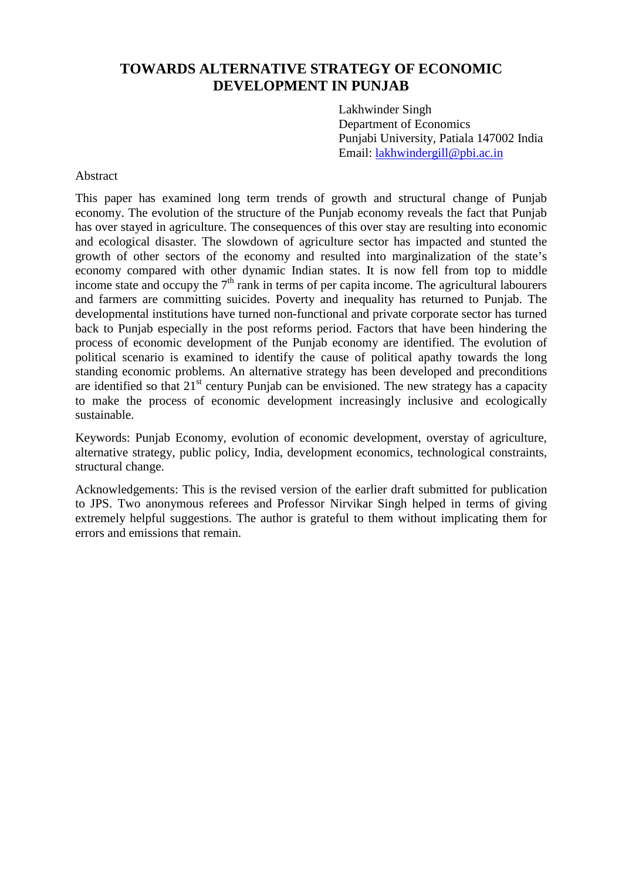## **TOWARDS ALTERNATIVE STRATEGY OF ECONOMIC DEVELOPMENT IN PUNJAB**

Lakhwinder Singh Department of Economics Punjabi University, Patiala 147002 India Email: lakhwindergill@pbi.ac.in

## Abstract

This paper has examined long term trends of growth and structural change of Punjab economy. The evolution of the structure of the Punjab economy reveals the fact that Punjab has over stayed in agriculture. The consequences of this over stay are resulting into economic and ecological disaster. The slowdown of agriculture sector has impacted and stunted the growth of other sectors of the economy and resulted into marginalization of the state's economy compared with other dynamic Indian states. It is now fell from top to middle income state and occupy the  $7<sup>th</sup>$  rank in terms of per capita income. The agricultural labourers and farmers are committing suicides. Poverty and inequality has returned to Punjab. The developmental institutions have turned non-functional and private corporate sector has turned back to Punjab especially in the post reforms period. Factors that have been hindering the process of economic development of the Punjab economy are identified. The evolution of political scenario is examined to identify the cause of political apathy towards the long standing economic problems. An alternative strategy has been developed and preconditions are identified so that  $21<sup>st</sup>$  century Punjab can be envisioned. The new strategy has a capacity to make the process of economic development increasingly inclusive and ecologically sustainable.

Keywords: Punjab Economy, evolution of economic development, overstay of agriculture, alternative strategy, public policy, India, development economics, technological constraints, structural change.

Acknowledgements: This is the revised version of the earlier draft submitted for publication to JPS. Two anonymous referees and Professor Nirvikar Singh helped in terms of giving extremely helpful suggestions. The author is grateful to them without implicating them for errors and emissions that remain.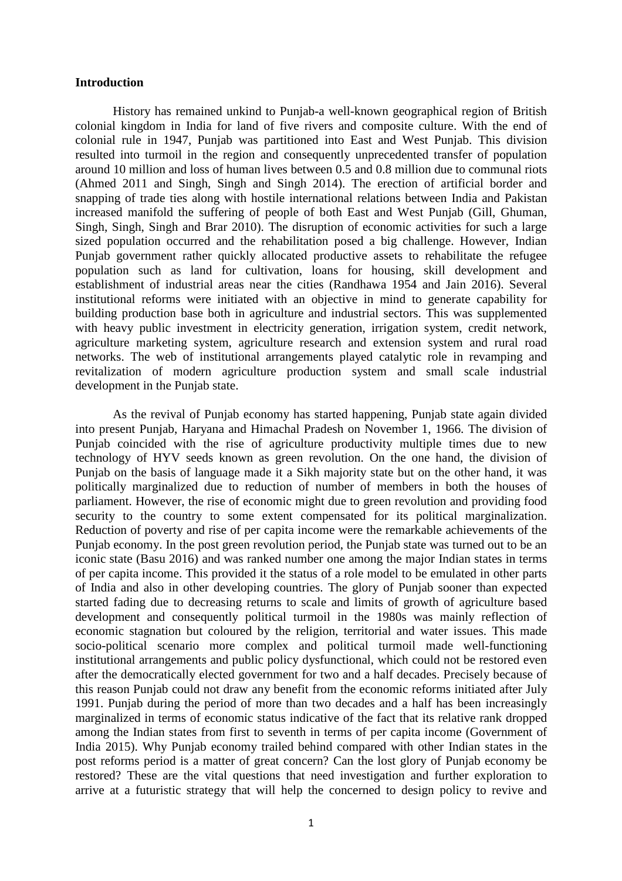### **Introduction**

History has remained unkind to Punjab-a well-known geographical region of British colonial kingdom in India for land of five rivers and composite culture. With the end of colonial rule in 1947, Punjab was partitioned into East and West Punjab. This division resulted into turmoil in the region and consequently unprecedented transfer of population around 10 million and loss of human lives between 0.5 and 0.8 million due to communal riots (Ahmed 2011 and Singh, Singh and Singh 2014). The erection of artificial border and snapping of trade ties along with hostile international relations between India and Pakistan increased manifold the suffering of people of both East and West Punjab (Gill, Ghuman, Singh, Singh, Singh and Brar 2010). The disruption of economic activities for such a large sized population occurred and the rehabilitation posed a big challenge. However, Indian Punjab government rather quickly allocated productive assets to rehabilitate the refugee population such as land for cultivation, loans for housing, skill development and establishment of industrial areas near the cities (Randhawa 1954 and Jain 2016). Several institutional reforms were initiated with an objective in mind to generate capability for building production base both in agriculture and industrial sectors. This was supplemented with heavy public investment in electricity generation, irrigation system, credit network, agriculture marketing system, agriculture research and extension system and rural road networks. The web of institutional arrangements played catalytic role in revamping and revitalization of modern agriculture production system and small scale industrial development in the Punjab state.

As the revival of Punjab economy has started happening, Punjab state again divided into present Punjab, Haryana and Himachal Pradesh on November 1, 1966. The division of Punjab coincided with the rise of agriculture productivity multiple times due to new technology of HYV seeds known as green revolution. On the one hand, the division of Punjab on the basis of language made it a Sikh majority state but on the other hand, it was politically marginalized due to reduction of number of members in both the houses of parliament. However, the rise of economic might due to green revolution and providing food security to the country to some extent compensated for its political marginalization. Reduction of poverty and rise of per capita income were the remarkable achievements of the Punjab economy. In the post green revolution period, the Punjab state was turned out to be an iconic state (Basu 2016) and was ranked number one among the major Indian states in terms of per capita income. This provided it the status of a role model to be emulated in other parts of India and also in other developing countries. The glory of Punjab sooner than expected started fading due to decreasing returns to scale and limits of growth of agriculture based development and consequently political turmoil in the 1980s was mainly reflection of economic stagnation but coloured by the religion, territorial and water issues. This made socio-political scenario more complex and political turmoil made well-functioning institutional arrangements and public policy dysfunctional, which could not be restored even after the democratically elected government for two and a half decades. Precisely because of this reason Punjab could not draw any benefit from the economic reforms initiated after July 1991. Punjab during the period of more than two decades and a half has been increasingly marginalized in terms of economic status indicative of the fact that its relative rank dropped among the Indian states from first to seventh in terms of per capita income (Government of India 2015). Why Punjab economy trailed behind compared with other Indian states in the post reforms period is a matter of great concern? Can the lost glory of Punjab economy be restored? These are the vital questions that need investigation and further exploration to arrive at a futuristic strategy that will help the concerned to design policy to revive and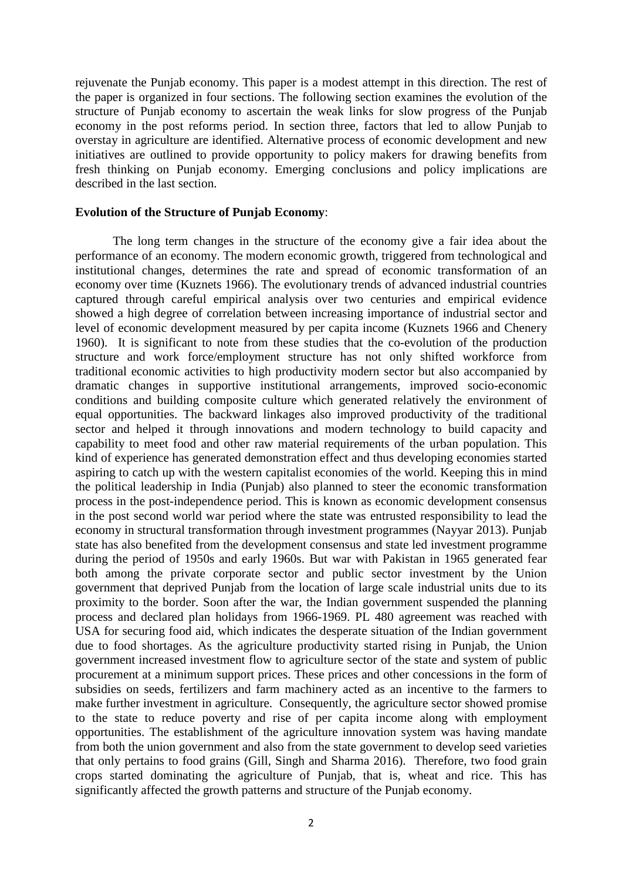rejuvenate the Punjab economy. This paper is a modest attempt in this direction. The rest of the paper is organized in four sections. The following section examines the evolution of the structure of Punjab economy to ascertain the weak links for slow progress of the Punjab economy in the post reforms period. In section three, factors that led to allow Punjab to overstay in agriculture are identified. Alternative process of economic development and new initiatives are outlined to provide opportunity to policy makers for drawing benefits from fresh thinking on Punjab economy. Emerging conclusions and policy implications are described in the last section.

## **Evolution of the Structure of Punjab Economy**:

The long term changes in the structure of the economy give a fair idea about the performance of an economy. The modern economic growth, triggered from technological and institutional changes, determines the rate and spread of economic transformation of an economy over time (Kuznets 1966). The evolutionary trends of advanced industrial countries captured through careful empirical analysis over two centuries and empirical evidence showed a high degree of correlation between increasing importance of industrial sector and level of economic development measured by per capita income (Kuznets 1966 and Chenery 1960). It is significant to note from these studies that the co-evolution of the production structure and work force/employment structure has not only shifted workforce from traditional economic activities to high productivity modern sector but also accompanied by dramatic changes in supportive institutional arrangements, improved socio-economic conditions and building composite culture which generated relatively the environment of equal opportunities. The backward linkages also improved productivity of the traditional sector and helped it through innovations and modern technology to build capacity and capability to meet food and other raw material requirements of the urban population. This kind of experience has generated demonstration effect and thus developing economies started aspiring to catch up with the western capitalist economies of the world. Keeping this in mind the political leadership in India (Punjab) also planned to steer the economic transformation process in the post-independence period. This is known as economic development consensus in the post second world war period where the state was entrusted responsibility to lead the economy in structural transformation through investment programmes (Nayyar 2013). Punjab state has also benefited from the development consensus and state led investment programme during the period of 1950s and early 1960s. But war with Pakistan in 1965 generated fear both among the private corporate sector and public sector investment by the Union government that deprived Punjab from the location of large scale industrial units due to its proximity to the border. Soon after the war, the Indian government suspended the planning process and declared plan holidays from 1966-1969. PL 480 agreement was reached with USA for securing food aid, which indicates the desperate situation of the Indian government due to food shortages. As the agriculture productivity started rising in Punjab, the Union government increased investment flow to agriculture sector of the state and system of public procurement at a minimum support prices. These prices and other concessions in the form of subsidies on seeds, fertilizers and farm machinery acted as an incentive to the farmers to make further investment in agriculture. Consequently, the agriculture sector showed promise to the state to reduce poverty and rise of per capita income along with employment opportunities. The establishment of the agriculture innovation system was having mandate from both the union government and also from the state government to develop seed varieties that only pertains to food grains (Gill, Singh and Sharma 2016). Therefore, two food grain crops started dominating the agriculture of Punjab, that is, wheat and rice. This has significantly affected the growth patterns and structure of the Punjab economy.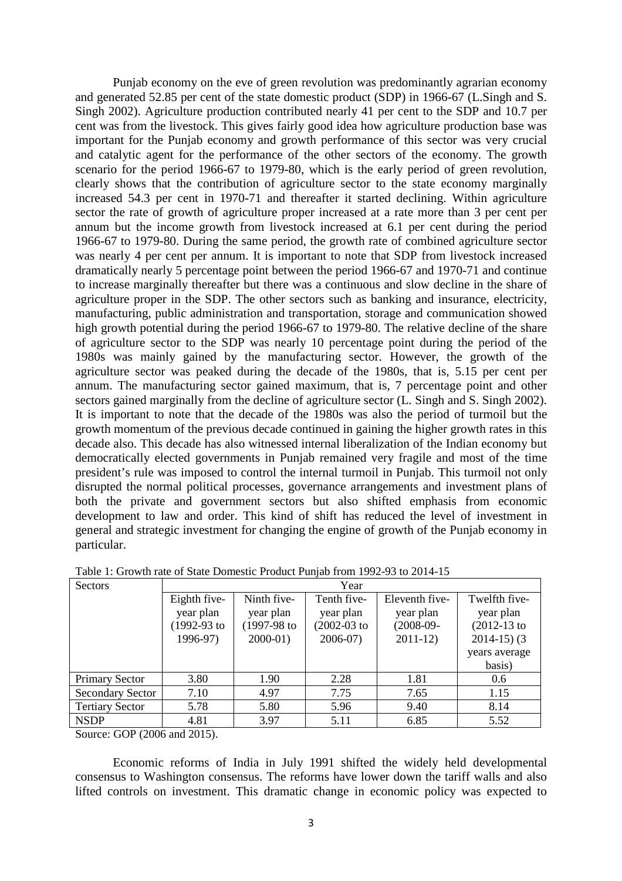Punjab economy on the eve of green revolution was predominantly agrarian economy and generated 52.85 per cent of the state domestic product (SDP) in 1966-67 (L.Singh and S. Singh 2002). Agriculture production contributed nearly 41 per cent to the SDP and 10.7 per cent was from the livestock. This gives fairly good idea how agriculture production base was important for the Punjab economy and growth performance of this sector was very crucial and catalytic agent for the performance of the other sectors of the economy. The growth scenario for the period 1966-67 to 1979-80, which is the early period of green revolution, clearly shows that the contribution of agriculture sector to the state economy marginally increased 54.3 per cent in 1970-71 and thereafter it started declining. Within agriculture sector the rate of growth of agriculture proper increased at a rate more than 3 per cent per annum but the income growth from livestock increased at 6.1 per cent during the period 1966-67 to 1979-80. During the same period, the growth rate of combined agriculture sector was nearly 4 per cent per annum. It is important to note that SDP from livestock increased dramatically nearly 5 percentage point between the period 1966-67 and 1970-71 and continue to increase marginally thereafter but there was a continuous and slow decline in the share of agriculture proper in the SDP. The other sectors such as banking and insurance, electricity, manufacturing, public administration and transportation, storage and communication showed high growth potential during the period 1966-67 to 1979-80. The relative decline of the share of agriculture sector to the SDP was nearly 10 percentage point during the period of the 1980s was mainly gained by the manufacturing sector. However, the growth of the agriculture sector was peaked during the decade of the 1980s, that is, 5.15 per cent per annum. The manufacturing sector gained maximum, that is, 7 percentage point and other sectors gained marginally from the decline of agriculture sector (L. Singh and S. Singh 2002). It is important to note that the decade of the 1980s was also the period of turmoil but the growth momentum of the previous decade continued in gaining the higher growth rates in this decade also. This decade has also witnessed internal liberalization of the Indian economy but democratically elected governments in Punjab remained very fragile and most of the time president's rule was imposed to control the internal turmoil in Punjab. This turmoil not only disrupted the normal political processes, governance arrangements and investment plans of both the private and government sectors but also shifted emphasis from economic development to law and order. This kind of shift has reduced the level of investment in general and strategic investment for changing the engine of growth of the Punjab economy in particular.

| <b>Sectors</b>          | Year         |               |                  |                |                |  |  |  |  |
|-------------------------|--------------|---------------|------------------|----------------|----------------|--|--|--|--|
|                         | Eighth five- | Ninth five-   | Tenth five-      | Eleventh five- | Twelfth five-  |  |  |  |  |
|                         | year plan    | year plan     | year plan        | year plan      | year plan      |  |  |  |  |
|                         | (1992-93 to  | $(1997-98$ to | $(2002 - 03)$ to | $(2008-09-$    | $(2012-13)$ to |  |  |  |  |
|                         | 1996-97)     | $2000-01$ )   | $2006-07$        | $2011-12$      | $2014-15$ ) (3 |  |  |  |  |
|                         |              |               |                  |                | years average  |  |  |  |  |
|                         |              |               |                  |                | basis)         |  |  |  |  |
| <b>Primary Sector</b>   | 3.80         | 1.90          | 2.28             | 1.81           | 0.6            |  |  |  |  |
| <b>Secondary Sector</b> | 7.10         | 4.97          | 7.75             | 7.65           | 1.15           |  |  |  |  |
| <b>Tertiary Sector</b>  | 5.78         | 5.80          | 5.96             | 9.40           | 8.14           |  |  |  |  |
| <b>NSDP</b>             | 4.81         | 3.97          | 5.11             | 6.85           | 5.52           |  |  |  |  |
|                         |              |               |                  |                |                |  |  |  |  |

Table 1: Growth rate of State Domestic Product Punjab from 1992-93 to 2014-15

Source: GOP (2006 and 2015).

Economic reforms of India in July 1991 shifted the widely held developmental consensus to Washington consensus. The reforms have lower down the tariff walls and also lifted controls on investment. This dramatic change in economic policy was expected to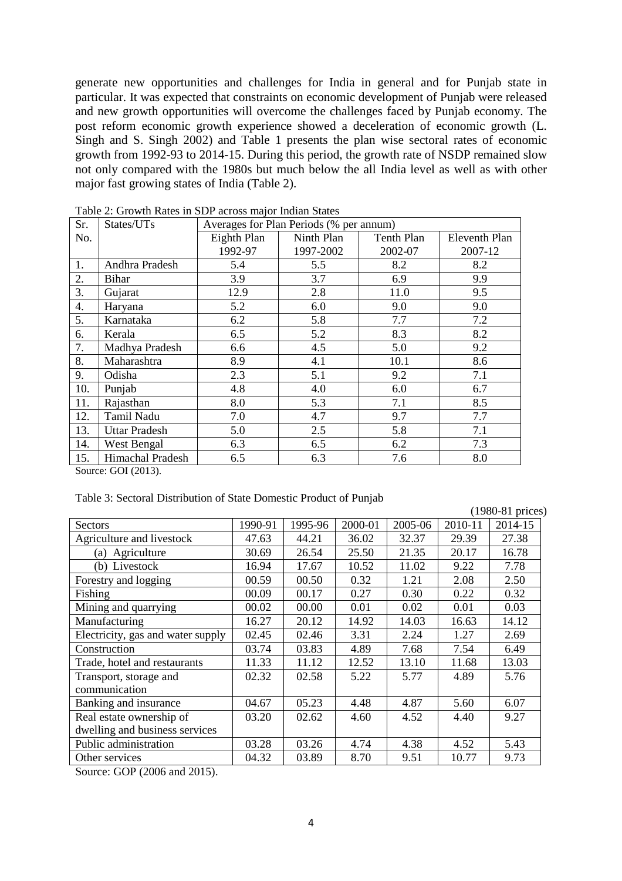generate new opportunities and challenges for India in general and for Punjab state in particular. It was expected that constraints on economic development of Punjab were released and new growth opportunities will overcome the challenges faced by Punjab economy. The post reform economic growth experience showed a deceleration of economic growth (L. Singh and S. Singh 2002) and Table 1 presents the plan wise sectoral rates of economic growth from 1992-93 to 2014-15. During this period, the growth rate of NSDP remained slow not only compared with the 1980s but much below the all India level as well as with other major fast growing states of India (Table 2).

| Sr. | States/UTs       | Averages for Plan Periods (% per annum) |            |                   |                      |  |
|-----|------------------|-----------------------------------------|------------|-------------------|----------------------|--|
| No. |                  | Eighth Plan                             | Ninth Plan | <b>Tenth Plan</b> | <b>Eleventh Plan</b> |  |
|     |                  | 1992-97                                 | 1997-2002  | 2002-07           | 2007-12              |  |
| 1.  | Andhra Pradesh   | 5.4                                     | 5.5        | 8.2               | 8.2                  |  |
| 2.  | Bihar            | 3.9                                     | 3.7        | 6.9               | 9.9                  |  |
| 3.  | Gujarat          | 12.9                                    | 2.8        | 11.0              | 9.5                  |  |
| 4.  | Haryana          | 5.2                                     | 6.0        | 9.0               | 9.0                  |  |
| 5.  | Karnataka        | 6.2                                     | 5.8        | 7.7               | 7.2                  |  |
| 6.  | Kerala           | 6.5                                     | 5.2        | 8.3               | 8.2                  |  |
| 7.  | Madhya Pradesh   | 6.6                                     | 4.5        | 5.0               | 9.2                  |  |
| 8.  | Maharashtra      | 8.9                                     | 4.1        | 10.1              | 8.6                  |  |
| 9.  | Odisha           | 2.3                                     | 5.1        | 9.2               | 7.1                  |  |
| 10. | Punjab           | 4.8                                     | 4.0        | 6.0               | 6.7                  |  |
| 11. | Rajasthan        | 8.0                                     | 5.3        | 7.1               | 8.5                  |  |
| 12. | Tamil Nadu       | 7.0                                     | 4.7        | 9.7               | 7.7                  |  |
| 13. | Uttar Pradesh    | 5.0                                     | 2.5        | 5.8               | 7.1                  |  |
| 14. | West Bengal      | 6.3                                     | 6.5        | 6.2               | 7.3                  |  |
| 15. | Himachal Pradesh | 6.5                                     | 6.3        | 7.6               | 8.0                  |  |

Table 2: Growth Rates in SDP across major Indian States

Source: GOI (2013).

|  | Table 3: Sectoral Distribution of State Domestic Product of Punjab |  |  |
|--|--------------------------------------------------------------------|--|--|
|  |                                                                    |  |  |

|                                   |         |         |         |         |         | (1980-81 prices) |
|-----------------------------------|---------|---------|---------|---------|---------|------------------|
| Sectors                           | 1990-91 | 1995-96 | 2000-01 | 2005-06 | 2010-11 | 2014-15          |
| Agriculture and livestock         | 47.63   | 44.21   | 36.02   | 32.37   | 29.39   | 27.38            |
| (a) Agriculture                   | 30.69   | 26.54   | 25.50   | 21.35   | 20.17   | 16.78            |
| (b) Livestock                     | 16.94   | 17.67   | 10.52   | 11.02   | 9.22    | 7.78             |
| Forestry and logging              | 00.59   | 00.50   | 0.32    | 1.21    | 2.08    | 2.50             |
| Fishing                           | 00.09   | 00.17   | 0.27    | 0.30    | 0.22    | 0.32             |
| Mining and quarrying              | 00.02   | 00.00   | 0.01    | 0.02    | 0.01    | 0.03             |
| Manufacturing                     | 16.27   | 20.12   | 14.92   | 14.03   | 16.63   | 14.12            |
| Electricity, gas and water supply | 02.45   | 02.46   | 3.31    | 2.24    | 1.27    | 2.69             |
| Construction                      | 03.74   | 03.83   | 4.89    | 7.68    | 7.54    | 6.49             |
| Trade, hotel and restaurants      | 11.33   | 11.12   | 12.52   | 13.10   | 11.68   | 13.03            |
| Transport, storage and            | 02.32   | 02.58   | 5.22    | 5.77    | 4.89    | 5.76             |
| communication                     |         |         |         |         |         |                  |
| Banking and insurance             | 04.67   | 05.23   | 4.48    | 4.87    | 5.60    | 6.07             |
| Real estate ownership of          | 03.20   | 02.62   | 4.60    | 4.52    | 4.40    | 9.27             |
| dwelling and business services    |         |         |         |         |         |                  |
| Public administration             | 03.28   | 03.26   | 4.74    | 4.38    | 4.52    | 5.43             |
| Other services                    | 04.32   | 03.89   | 8.70    | 9.51    | 10.77   | 9.73             |

Source: GOP (2006 and 2015).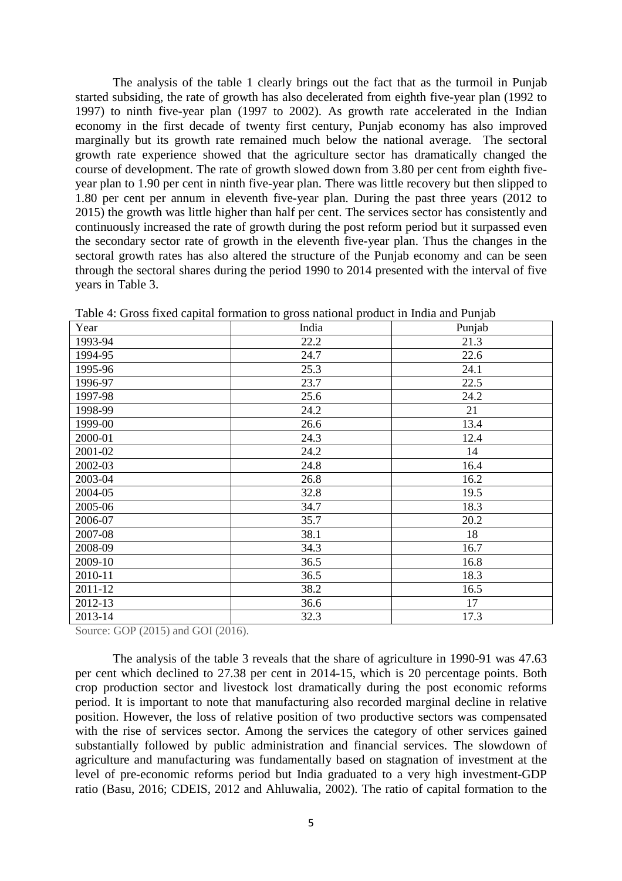The analysis of the table 1 clearly brings out the fact that as the turmoil in Punjab started subsiding, the rate of growth has also decelerated from eighth five-year plan (1992 to 1997) to ninth five-year plan (1997 to 2002). As growth rate accelerated in the Indian economy in the first decade of twenty first century, Punjab economy has also improved marginally but its growth rate remained much below the national average. The sectoral growth rate experience showed that the agriculture sector has dramatically changed the course of development. The rate of growth slowed down from 3.80 per cent from eighth fiveyear plan to 1.90 per cent in ninth five-year plan. There was little recovery but then slipped to 1.80 per cent per annum in eleventh five-year plan. During the past three years (2012 to 2015) the growth was little higher than half per cent. The services sector has consistently and continuously increased the rate of growth during the post reform period but it surpassed even the secondary sector rate of growth in the eleventh five-year plan. Thus the changes in the sectoral growth rates has also altered the structure of the Punjab economy and can be seen through the sectoral shares during the period 1990 to 2014 presented with the interval of five years in Table 3.

| Year    | India | Punjab |
|---------|-------|--------|
| 1993-94 | 22.2  | 21.3   |
| 1994-95 | 24.7  | 22.6   |
| 1995-96 | 25.3  | 24.1   |
| 1996-97 | 23.7  | 22.5   |
| 1997-98 | 25.6  | 24.2   |
| 1998-99 | 24.2  | 21     |
| 1999-00 | 26.6  | 13.4   |
| 2000-01 | 24.3  | 12.4   |
| 2001-02 | 24.2  | 14     |
| 2002-03 | 24.8  | 16.4   |
| 2003-04 | 26.8  | 16.2   |
| 2004-05 | 32.8  | 19.5   |
| 2005-06 | 34.7  | 18.3   |
| 2006-07 | 35.7  | 20.2   |
| 2007-08 | 38.1  | 18     |
| 2008-09 | 34.3  | 16.7   |
| 2009-10 | 36.5  | 16.8   |
| 2010-11 | 36.5  | 18.3   |
| 2011-12 | 38.2  | 16.5   |
| 2012-13 | 36.6  | 17     |
| 2013-14 | 32.3  | 17.3   |

Table 4: Gross fixed capital formation to gross national product in India and Punjab

Source: GOP (2015) and GOI (2016).

The analysis of the table 3 reveals that the share of agriculture in 1990-91 was 47.63 per cent which declined to 27.38 per cent in 2014-15, which is 20 percentage points. Both crop production sector and livestock lost dramatically during the post economic reforms period. It is important to note that manufacturing also recorded marginal decline in relative position. However, the loss of relative position of two productive sectors was compensated with the rise of services sector. Among the services the category of other services gained substantially followed by public administration and financial services. The slowdown of agriculture and manufacturing was fundamentally based on stagnation of investment at the level of pre-economic reforms period but India graduated to a very high investment-GDP ratio (Basu, 2016; CDEIS, 2012 and Ahluwalia, 2002). The ratio of capital formation to the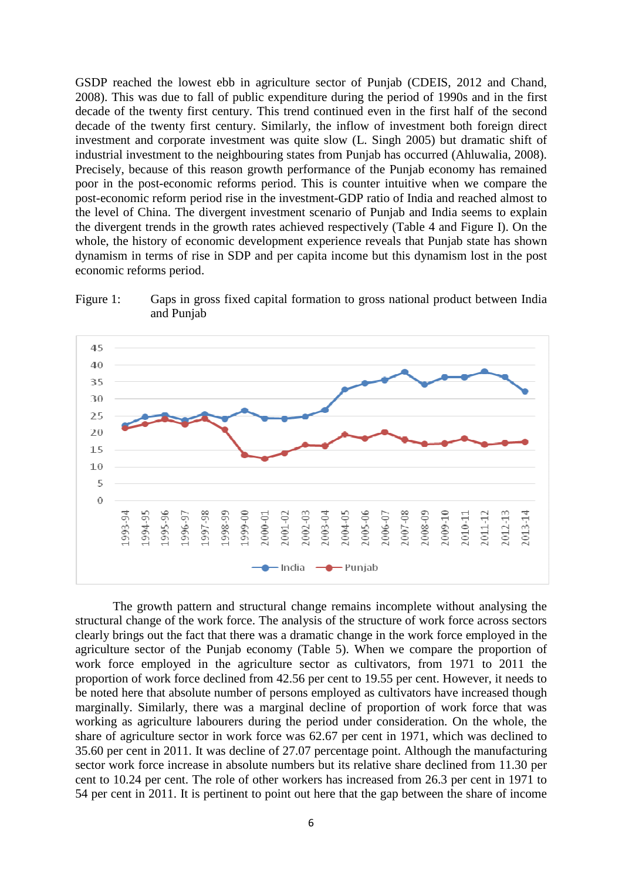GSDP reached the lowest ebb in agriculture sector of Punjab (CDEIS, 2012 and Chand, 2008). This was due to fall of public expenditure during the period of 1990s and in the first decade of the twenty first century. This trend continued even in the first half of the second decade of the twenty first century. Similarly, the inflow of investment both foreign direct investment and corporate investment was quite slow (L. Singh 2005) but dramatic shift of industrial investment to the neighbouring states from Punjab has occurred (Ahluwalia, 2008). Precisely, because of this reason growth performance of the Punjab economy has remained poor in the post-economic reforms period. This is counter intuitive when we compare the post-economic reform period rise in the investment-GDP ratio of India and reached almost to the level of China. The divergent investment scenario of Punjab and India seems to explain the divergent trends in the growth rates achieved respectively (Table 4 and Figure I). On the whole, the history of economic development experience reveals that Punjab state has shown dynamism in terms of rise in SDP and per capita income but this dynamism lost in the post economic reforms period.



Figure 1: Gaps in gross fixed capital formation to gross national product between India and Punjab

The growth pattern and structural change remains incomplete without analysing the structural change of the work force. The analysis of the structure of work force across sectors clearly brings out the fact that there was a dramatic change in the work force employed in the agriculture sector of the Punjab economy (Table 5). When we compare the proportion of work force employed in the agriculture sector as cultivators, from 1971 to 2011 the proportion of work force declined from 42.56 per cent to 19.55 per cent. However, it needs to be noted here that absolute number of persons employed as cultivators have increased though marginally. Similarly, there was a marginal decline of proportion of work force that was working as agriculture labourers during the period under consideration. On the whole, the share of agriculture sector in work force was 62.67 per cent in 1971, which was declined to 35.60 per cent in 2011. It was decline of 27.07 percentage point. Although the manufacturing sector work force increase in absolute numbers but its relative share declined from 11.30 per cent to 10.24 per cent. The role of other workers has increased from 26.3 per cent in 1971 to 54 per cent in 2011. It is pertinent to point out here that the gap between the share of income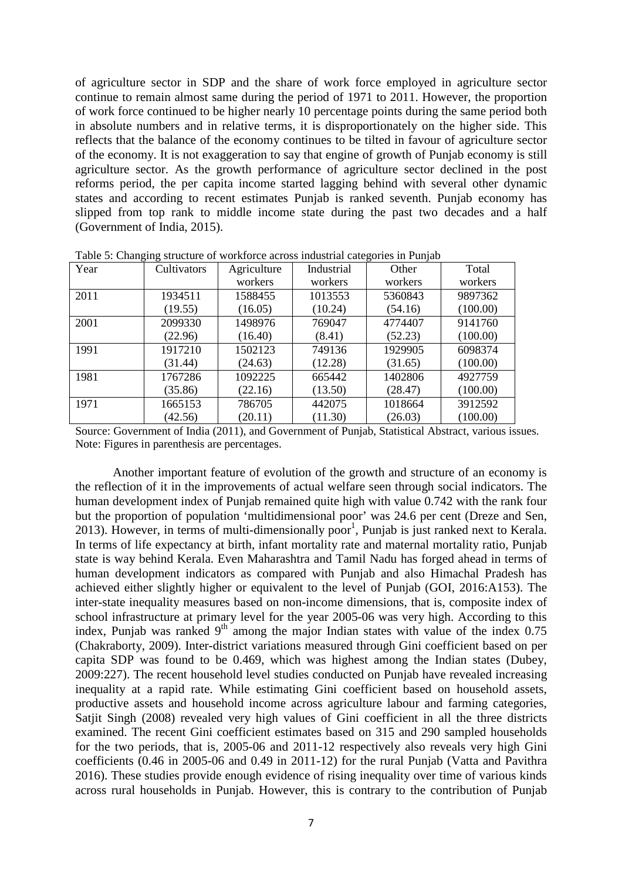of agriculture sector in SDP and the share of work force employed in agriculture sector continue to remain almost same during the period of 1971 to 2011. However, the proportion of work force continued to be higher nearly 10 percentage points during the same period both in absolute numbers and in relative terms, it is disproportionately on the higher side. This reflects that the balance of the economy continues to be tilted in favour of agriculture sector of the economy. It is not exaggeration to say that engine of growth of Punjab economy is still agriculture sector. As the growth performance of agriculture sector declined in the post reforms period, the per capita income started lagging behind with several other dynamic states and according to recent estimates Punjab is ranked seventh. Punjab economy has slipped from top rank to middle income state during the past two decades and a half (Government of India, 2015).

| Year | Cultivators | Agriculture | Industrial | Other   | Total    |
|------|-------------|-------------|------------|---------|----------|
|      |             | workers     | workers    | workers | workers  |
| 2011 | 1934511     | 1588455     | 1013553    | 5360843 | 9897362  |
|      | (19.55)     | (16.05)     | (10.24)    | (54.16) | (100.00) |
| 2001 | 2099330     | 1498976     | 769047     | 4774407 | 9141760  |
|      | (22.96)     | (16.40)     | (8.41)     | (52.23) | (100.00) |
| 1991 | 1917210     | 1502123     | 749136     | 1929905 | 6098374  |
|      | (31.44)     | (24.63)     | (12.28)    | (31.65) | (100.00) |
| 1981 | 1767286     | 1092225     | 665442     | 1402806 | 4927759  |
|      | (35.86)     | (22.16)     | (13.50)    | (28.47) | (100.00) |
| 1971 | 1665153     | 786705      | 442075     | 1018664 | 3912592  |
|      | (42.56)     | (20.11)     | (11.30)    | (26.03) | (100.00) |

Table 5: Changing structure of workforce across industrial categories in Punjab

Source: Government of India (2011), and Government of Punjab, Statistical Abstract, various issues. Note: Figures in parenthesis are percentages.

Another important feature of evolution of the growth and structure of an economy is the reflection of it in the improvements of actual welfare seen through social indicators. The human development index of Punjab remained quite high with value 0.742 with the rank four but the proportion of population 'multidimensional poor' was 24.6 per cent (Dreze and Sen, 2013). However, in terms of multi-dimensionally  $\text{poor}^1$ , Punjab is just ranked next to Kerala. In terms of life expectancy at birth, infant mortality rate and maternal mortality ratio, Punjab state is way behind Kerala. Even Maharashtra and Tamil Nadu has forged ahead in terms of human development indicators as compared with Punjab and also Himachal Pradesh has achieved either slightly higher or equivalent to the level of Punjab (GOI, 2016:A153). The inter-state inequality measures based on non-income dimensions, that is, composite index of school infrastructure at primary level for the year 2005-06 was very high. According to this index, Punjab was ranked  $9<sup>th</sup>$  among the major Indian states with value of the index 0.75 (Chakraborty, 2009). Inter-district variations measured through Gini coefficient based on per capita SDP was found to be 0.469, which was highest among the Indian states (Dubey, 2009:227). The recent household level studies conducted on Punjab have revealed increasing inequality at a rapid rate. While estimating Gini coefficient based on household assets, productive assets and household income across agriculture labour and farming categories, Satjit Singh (2008) revealed very high values of Gini coefficient in all the three districts examined. The recent Gini coefficient estimates based on 315 and 290 sampled households for the two periods, that is, 2005-06 and 2011-12 respectively also reveals very high Gini coefficients (0.46 in 2005-06 and 0.49 in 2011-12) for the rural Punjab (Vatta and Pavithra 2016). These studies provide enough evidence of rising inequality over time of various kinds across rural households in Punjab. However, this is contrary to the contribution of Punjab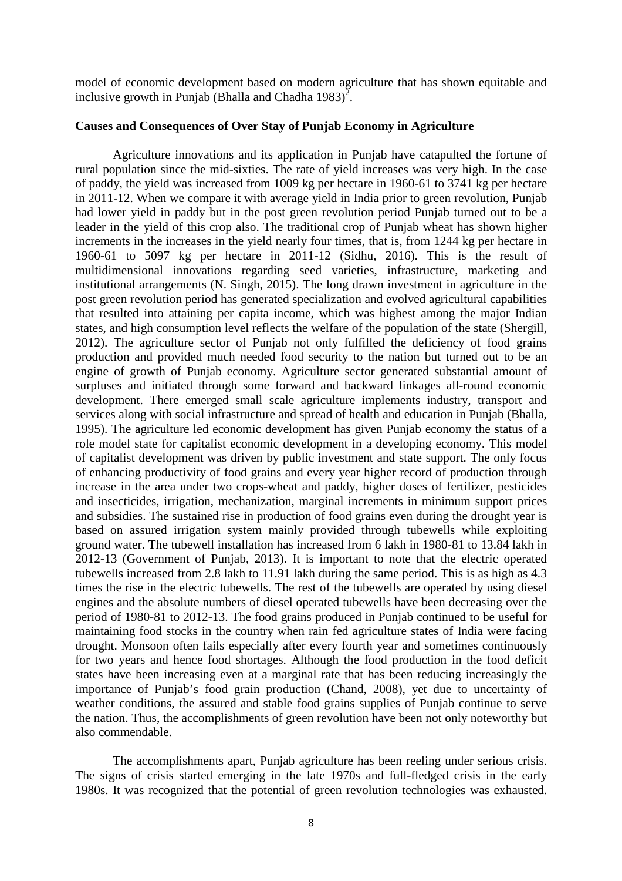model of economic development based on modern agriculture that has shown equitable and inclusive growth in Punjab (Bhalla and Chadha 1983)<sup>2</sup>.

### **Causes and Consequences of Over Stay of Punjab Economy in Agriculture**

Agriculture innovations and its application in Punjab have catapulted the fortune of rural population since the mid-sixties. The rate of yield increases was very high. In the case of paddy, the yield was increased from 1009 kg per hectare in 1960-61 to 3741 kg per hectare in 2011-12. When we compare it with average yield in India prior to green revolution, Punjab had lower yield in paddy but in the post green revolution period Punjab turned out to be a leader in the yield of this crop also. The traditional crop of Punjab wheat has shown higher increments in the increases in the yield nearly four times, that is, from 1244 kg per hectare in 1960-61 to 5097 kg per hectare in 2011-12 (Sidhu, 2016). This is the result of multidimensional innovations regarding seed varieties, infrastructure, marketing and institutional arrangements (N. Singh, 2015). The long drawn investment in agriculture in the post green revolution period has generated specialization and evolved agricultural capabilities that resulted into attaining per capita income, which was highest among the major Indian states, and high consumption level reflects the welfare of the population of the state (Shergill, 2012). The agriculture sector of Punjab not only fulfilled the deficiency of food grains production and provided much needed food security to the nation but turned out to be an engine of growth of Punjab economy. Agriculture sector generated substantial amount of surpluses and initiated through some forward and backward linkages all-round economic development. There emerged small scale agriculture implements industry, transport and services along with social infrastructure and spread of health and education in Punjab (Bhalla, 1995). The agriculture led economic development has given Punjab economy the status of a role model state for capitalist economic development in a developing economy. This model of capitalist development was driven by public investment and state support. The only focus of enhancing productivity of food grains and every year higher record of production through increase in the area under two crops-wheat and paddy, higher doses of fertilizer, pesticides and insecticides, irrigation, mechanization, marginal increments in minimum support prices and subsidies. The sustained rise in production of food grains even during the drought year is based on assured irrigation system mainly provided through tubewells while exploiting ground water. The tubewell installation has increased from 6 lakh in 1980-81 to 13.84 lakh in 2012-13 (Government of Punjab, 2013). It is important to note that the electric operated tubewells increased from 2.8 lakh to 11.91 lakh during the same period. This is as high as 4.3 times the rise in the electric tubewells. The rest of the tubewells are operated by using diesel engines and the absolute numbers of diesel operated tubewells have been decreasing over the period of 1980-81 to 2012-13. The food grains produced in Punjab continued to be useful for maintaining food stocks in the country when rain fed agriculture states of India were facing drought. Monsoon often fails especially after every fourth year and sometimes continuously for two years and hence food shortages. Although the food production in the food deficit states have been increasing even at a marginal rate that has been reducing increasingly the importance of Punjab's food grain production (Chand, 2008), yet due to uncertainty of weather conditions, the assured and stable food grains supplies of Punjab continue to serve the nation. Thus, the accomplishments of green revolution have been not only noteworthy but also commendable.

The accomplishments apart, Punjab agriculture has been reeling under serious crisis. The signs of crisis started emerging in the late 1970s and full-fledged crisis in the early 1980s. It was recognized that the potential of green revolution technologies was exhausted.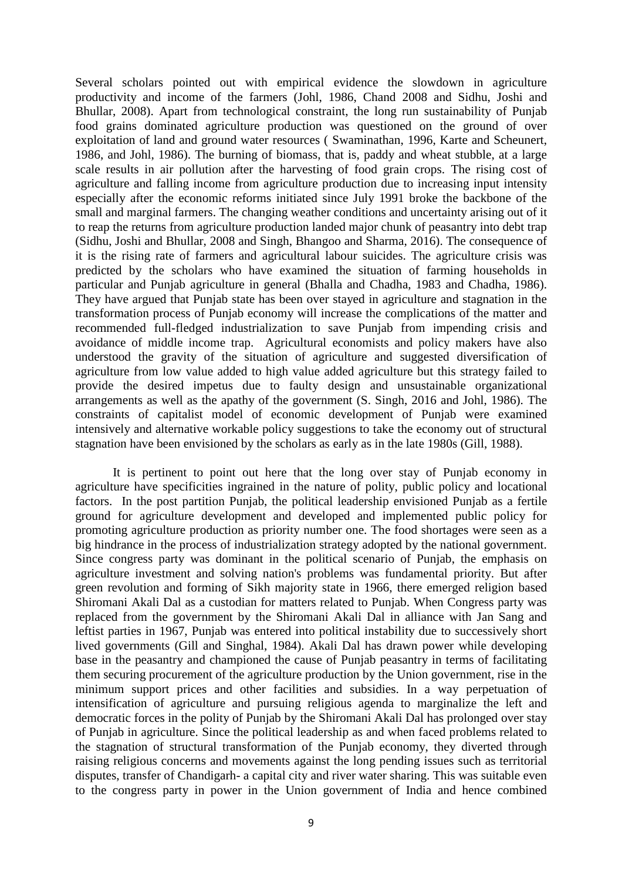Several scholars pointed out with empirical evidence the slowdown in agriculture productivity and income of the farmers (Johl, 1986, Chand 2008 and Sidhu, Joshi and Bhullar, 2008). Apart from technological constraint, the long run sustainability of Punjab food grains dominated agriculture production was questioned on the ground of over exploitation of land and ground water resources ( Swaminathan, 1996, Karte and Scheunert, 1986, and Johl, 1986). The burning of biomass, that is, paddy and wheat stubble, at a large scale results in air pollution after the harvesting of food grain crops. The rising cost of agriculture and falling income from agriculture production due to increasing input intensity especially after the economic reforms initiated since July 1991 broke the backbone of the small and marginal farmers. The changing weather conditions and uncertainty arising out of it to reap the returns from agriculture production landed major chunk of peasantry into debt trap (Sidhu, Joshi and Bhullar, 2008 and Singh, Bhangoo and Sharma, 2016). The consequence of it is the rising rate of farmers and agricultural labour suicides. The agriculture crisis was predicted by the scholars who have examined the situation of farming households in particular and Punjab agriculture in general (Bhalla and Chadha, 1983 and Chadha, 1986). They have argued that Punjab state has been over stayed in agriculture and stagnation in the transformation process of Punjab economy will increase the complications of the matter and recommended full-fledged industrialization to save Punjab from impending crisis and avoidance of middle income trap. Agricultural economists and policy makers have also understood the gravity of the situation of agriculture and suggested diversification of agriculture from low value added to high value added agriculture but this strategy failed to provide the desired impetus due to faulty design and unsustainable organizational arrangements as well as the apathy of the government (S. Singh, 2016 and Johl, 1986). The constraints of capitalist model of economic development of Punjab were examined intensively and alternative workable policy suggestions to take the economy out of structural stagnation have been envisioned by the scholars as early as in the late 1980s (Gill, 1988).

It is pertinent to point out here that the long over stay of Punjab economy in agriculture have specificities ingrained in the nature of polity, public policy and locational factors. In the post partition Punjab, the political leadership envisioned Punjab as a fertile ground for agriculture development and developed and implemented public policy for promoting agriculture production as priority number one. The food shortages were seen as a big hindrance in the process of industrialization strategy adopted by the national government. Since congress party was dominant in the political scenario of Punjab, the emphasis on agriculture investment and solving nation's problems was fundamental priority. But after green revolution and forming of Sikh majority state in 1966, there emerged religion based Shiromani Akali Dal as a custodian for matters related to Punjab. When Congress party was replaced from the government by the Shiromani Akali Dal in alliance with Jan Sang and leftist parties in 1967, Punjab was entered into political instability due to successively short lived governments (Gill and Singhal, 1984). Akali Dal has drawn power while developing base in the peasantry and championed the cause of Punjab peasantry in terms of facilitating them securing procurement of the agriculture production by the Union government, rise in the minimum support prices and other facilities and subsidies. In a way perpetuation of intensification of agriculture and pursuing religious agenda to marginalize the left and democratic forces in the polity of Punjab by the Shiromani Akali Dal has prolonged over stay of Punjab in agriculture. Since the political leadership as and when faced problems related to the stagnation of structural transformation of the Punjab economy, they diverted through raising religious concerns and movements against the long pending issues such as territorial disputes, transfer of Chandigarh- a capital city and river water sharing. This was suitable even to the congress party in power in the Union government of India and hence combined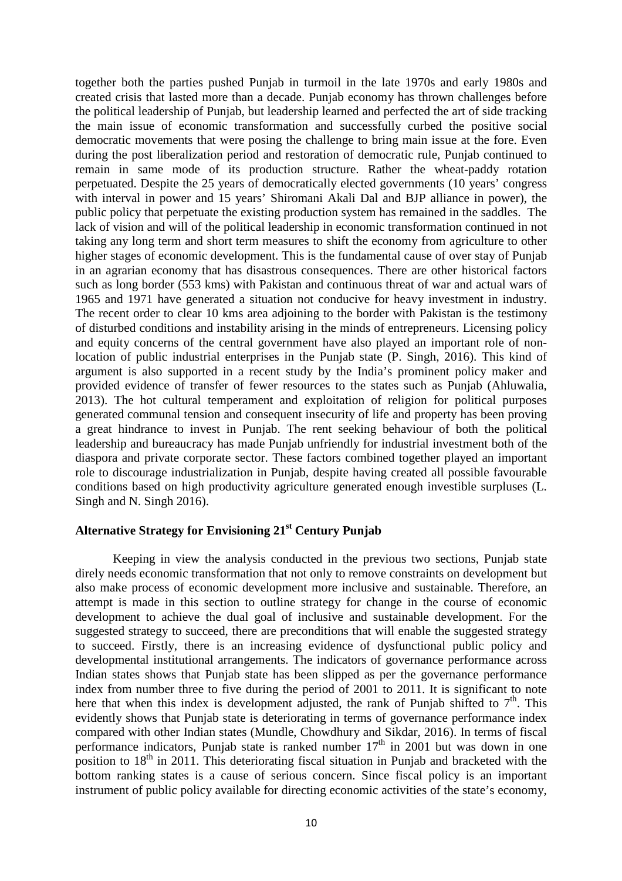together both the parties pushed Punjab in turmoil in the late 1970s and early 1980s and created crisis that lasted more than a decade. Punjab economy has thrown challenges before the political leadership of Punjab, but leadership learned and perfected the art of side tracking the main issue of economic transformation and successfully curbed the positive social democratic movements that were posing the challenge to bring main issue at the fore. Even during the post liberalization period and restoration of democratic rule, Punjab continued to remain in same mode of its production structure. Rather the wheat-paddy rotation perpetuated. Despite the 25 years of democratically elected governments (10 years' congress with interval in power and 15 years' Shiromani Akali Dal and BJP alliance in power), the public policy that perpetuate the existing production system has remained in the saddles. The lack of vision and will of the political leadership in economic transformation continued in not taking any long term and short term measures to shift the economy from agriculture to other higher stages of economic development. This is the fundamental cause of over stay of Punjab in an agrarian economy that has disastrous consequences. There are other historical factors such as long border (553 kms) with Pakistan and continuous threat of war and actual wars of 1965 and 1971 have generated a situation not conducive for heavy investment in industry. The recent order to clear 10 kms area adjoining to the border with Pakistan is the testimony of disturbed conditions and instability arising in the minds of entrepreneurs. Licensing policy and equity concerns of the central government have also played an important role of nonlocation of public industrial enterprises in the Punjab state (P. Singh, 2016). This kind of argument is also supported in a recent study by the India's prominent policy maker and provided evidence of transfer of fewer resources to the states such as Punjab (Ahluwalia, 2013). The hot cultural temperament and exploitation of religion for political purposes generated communal tension and consequent insecurity of life and property has been proving a great hindrance to invest in Punjab. The rent seeking behaviour of both the political leadership and bureaucracy has made Punjab unfriendly for industrial investment both of the diaspora and private corporate sector. These factors combined together played an important role to discourage industrialization in Punjab, despite having created all possible favourable conditions based on high productivity agriculture generated enough investible surpluses (L. Singh and N. Singh 2016).

## **Alternative Strategy for Envisioning 21st Century Punjab**

Keeping in view the analysis conducted in the previous two sections, Punjab state direly needs economic transformation that not only to remove constraints on development but also make process of economic development more inclusive and sustainable. Therefore, an attempt is made in this section to outline strategy for change in the course of economic development to achieve the dual goal of inclusive and sustainable development. For the suggested strategy to succeed, there are preconditions that will enable the suggested strategy to succeed. Firstly, there is an increasing evidence of dysfunctional public policy and developmental institutional arrangements. The indicators of governance performance across Indian states shows that Punjab state has been slipped as per the governance performance index from number three to five during the period of 2001 to 2011. It is significant to note here that when this index is development adjusted, the rank of Punjab shifted to  $7<sup>th</sup>$ . This evidently shows that Punjab state is deteriorating in terms of governance performance index compared with other Indian states (Mundle, Chowdhury and Sikdar, 2016). In terms of fiscal performance indicators, Punjab state is ranked number  $17<sup>th</sup>$  in 2001 but was down in one position to  $18<sup>th</sup>$  in 2011. This deteriorating fiscal situation in Punjab and bracketed with the bottom ranking states is a cause of serious concern. Since fiscal policy is an important instrument of public policy available for directing economic activities of the state's economy,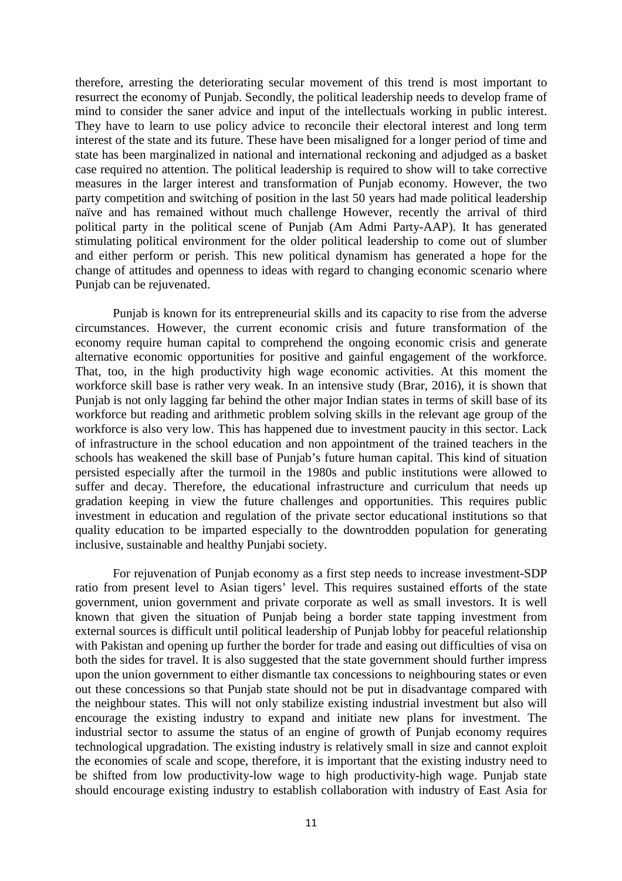therefore, arresting the deteriorating secular movement of this trend is most important to resurrect the economy of Punjab. Secondly, the political leadership needs to develop frame of mind to consider the saner advice and input of the intellectuals working in public interest. They have to learn to use policy advice to reconcile their electoral interest and long term interest of the state and its future. These have been misaligned for a longer period of time and state has been marginalized in national and international reckoning and adjudged as a basket case required no attention. The political leadership is required to show will to take corrective measures in the larger interest and transformation of Punjab economy. However, the two party competition and switching of position in the last 50 years had made political leadership naïve and has remained without much challenge However, recently the arrival of third political party in the political scene of Punjab (Am Admi Party-AAP). It has generated stimulating political environment for the older political leadership to come out of slumber and either perform or perish. This new political dynamism has generated a hope for the change of attitudes and openness to ideas with regard to changing economic scenario where Punjab can be rejuvenated.

Punjab is known for its entrepreneurial skills and its capacity to rise from the adverse circumstances. However, the current economic crisis and future transformation of the economy require human capital to comprehend the ongoing economic crisis and generate alternative economic opportunities for positive and gainful engagement of the workforce. That, too, in the high productivity high wage economic activities. At this moment the workforce skill base is rather very weak. In an intensive study (Brar, 2016), it is shown that Punjab is not only lagging far behind the other major Indian states in terms of skill base of its workforce but reading and arithmetic problem solving skills in the relevant age group of the workforce is also very low. This has happened due to investment paucity in this sector. Lack of infrastructure in the school education and non appointment of the trained teachers in the schools has weakened the skill base of Punjab's future human capital. This kind of situation persisted especially after the turmoil in the 1980s and public institutions were allowed to suffer and decay. Therefore, the educational infrastructure and curriculum that needs up gradation keeping in view the future challenges and opportunities. This requires public investment in education and regulation of the private sector educational institutions so that quality education to be imparted especially to the downtrodden population for generating inclusive, sustainable and healthy Punjabi society.

For rejuvenation of Punjab economy as a first step needs to increase investment-SDP ratio from present level to Asian tigers' level. This requires sustained efforts of the state government, union government and private corporate as well as small investors. It is well known that given the situation of Punjab being a border state tapping investment from external sources is difficult until political leadership of Punjab lobby for peaceful relationship with Pakistan and opening up further the border for trade and easing out difficulties of visa on both the sides for travel. It is also suggested that the state government should further impress upon the union government to either dismantle tax concessions to neighbouring states or even out these concessions so that Punjab state should not be put in disadvantage compared with the neighbour states. This will not only stabilize existing industrial investment but also will encourage the existing industry to expand and initiate new plans for investment. The industrial sector to assume the status of an engine of growth of Punjab economy requires technological upgradation. The existing industry is relatively small in size and cannot exploit the economies of scale and scope, therefore, it is important that the existing industry need to be shifted from low productivity-low wage to high productivity-high wage. Punjab state should encourage existing industry to establish collaboration with industry of East Asia for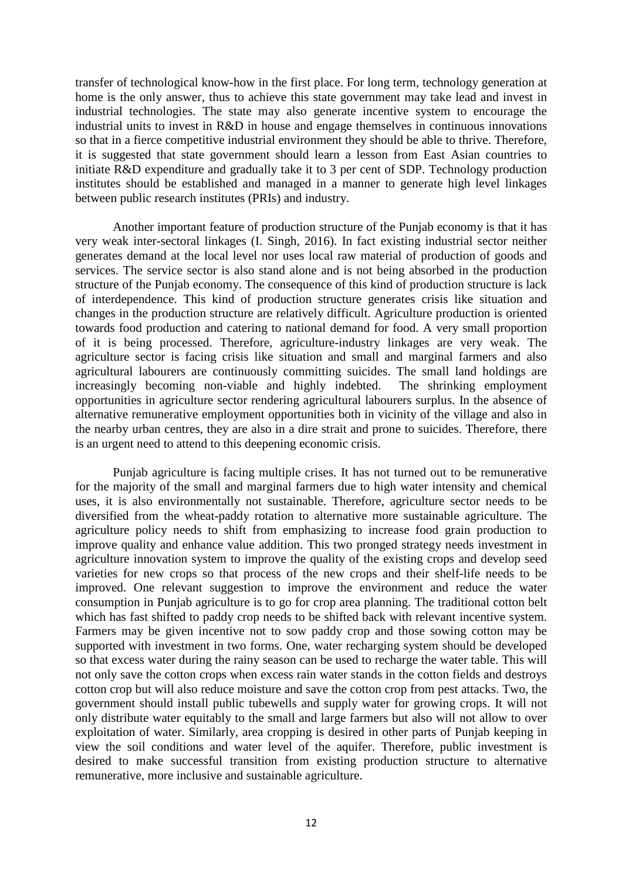transfer of technological know-how in the first place. For long term, technology generation at home is the only answer, thus to achieve this state government may take lead and invest in industrial technologies. The state may also generate incentive system to encourage the industrial units to invest in R&D in house and engage themselves in continuous innovations so that in a fierce competitive industrial environment they should be able to thrive. Therefore, it is suggested that state government should learn a lesson from East Asian countries to initiate R&D expenditure and gradually take it to 3 per cent of SDP. Technology production institutes should be established and managed in a manner to generate high level linkages between public research institutes (PRIs) and industry.

Another important feature of production structure of the Punjab economy is that it has very weak inter-sectoral linkages (I. Singh, 2016). In fact existing industrial sector neither generates demand at the local level nor uses local raw material of production of goods and services. The service sector is also stand alone and is not being absorbed in the production structure of the Punjab economy. The consequence of this kind of production structure is lack of interdependence. This kind of production structure generates crisis like situation and changes in the production structure are relatively difficult. Agriculture production is oriented towards food production and catering to national demand for food. A very small proportion of it is being processed. Therefore, agriculture-industry linkages are very weak. The agriculture sector is facing crisis like situation and small and marginal farmers and also agricultural labourers are continuously committing suicides. The small land holdings are increasingly becoming non-viable and highly indebted. The shrinking employment opportunities in agriculture sector rendering agricultural labourers surplus. In the absence of alternative remunerative employment opportunities both in vicinity of the village and also in the nearby urban centres, they are also in a dire strait and prone to suicides. Therefore, there is an urgent need to attend to this deepening economic crisis.

Punjab agriculture is facing multiple crises. It has not turned out to be remunerative for the majority of the small and marginal farmers due to high water intensity and chemical uses, it is also environmentally not sustainable. Therefore, agriculture sector needs to be diversified from the wheat-paddy rotation to alternative more sustainable agriculture. The agriculture policy needs to shift from emphasizing to increase food grain production to improve quality and enhance value addition. This two pronged strategy needs investment in agriculture innovation system to improve the quality of the existing crops and develop seed varieties for new crops so that process of the new crops and their shelf-life needs to be improved. One relevant suggestion to improve the environment and reduce the water consumption in Punjab agriculture is to go for crop area planning. The traditional cotton belt which has fast shifted to paddy crop needs to be shifted back with relevant incentive system. Farmers may be given incentive not to sow paddy crop and those sowing cotton may be supported with investment in two forms. One, water recharging system should be developed so that excess water during the rainy season can be used to recharge the water table. This will not only save the cotton crops when excess rain water stands in the cotton fields and destroys cotton crop but will also reduce moisture and save the cotton crop from pest attacks. Two, the government should install public tubewells and supply water for growing crops. It will not only distribute water equitably to the small and large farmers but also will not allow to over exploitation of water. Similarly, area cropping is desired in other parts of Punjab keeping in view the soil conditions and water level of the aquifer. Therefore, public investment is desired to make successful transition from existing production structure to alternative remunerative, more inclusive and sustainable agriculture.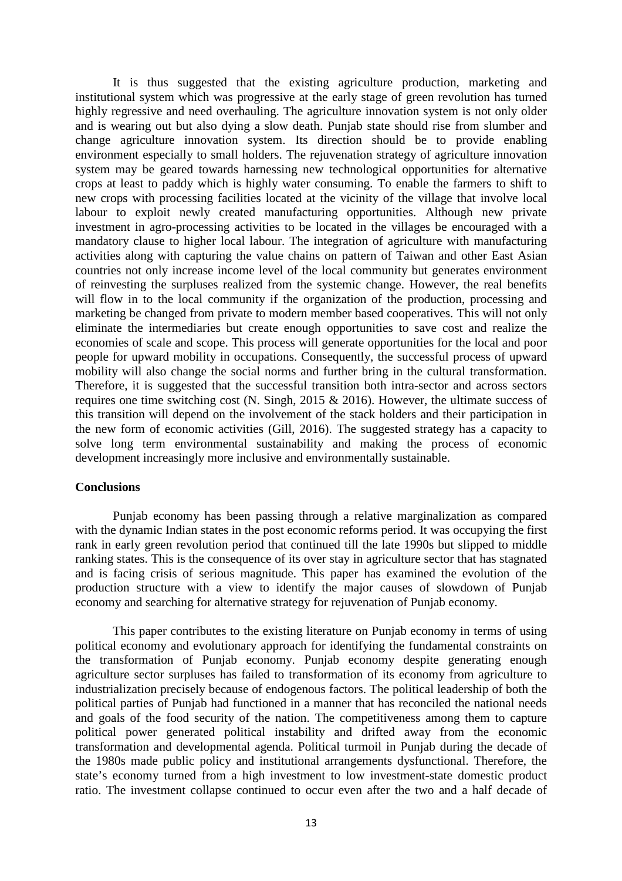It is thus suggested that the existing agriculture production, marketing and institutional system which was progressive at the early stage of green revolution has turned highly regressive and need overhauling. The agriculture innovation system is not only older and is wearing out but also dying a slow death. Punjab state should rise from slumber and change agriculture innovation system. Its direction should be to provide enabling environment especially to small holders. The rejuvenation strategy of agriculture innovation system may be geared towards harnessing new technological opportunities for alternative crops at least to paddy which is highly water consuming. To enable the farmers to shift to new crops with processing facilities located at the vicinity of the village that involve local labour to exploit newly created manufacturing opportunities. Although new private investment in agro-processing activities to be located in the villages be encouraged with a mandatory clause to higher local labour. The integration of agriculture with manufacturing activities along with capturing the value chains on pattern of Taiwan and other East Asian countries not only increase income level of the local community but generates environment of reinvesting the surpluses realized from the systemic change. However, the real benefits will flow in to the local community if the organization of the production, processing and marketing be changed from private to modern member based cooperatives. This will not only eliminate the intermediaries but create enough opportunities to save cost and realize the economies of scale and scope. This process will generate opportunities for the local and poor people for upward mobility in occupations. Consequently, the successful process of upward mobility will also change the social norms and further bring in the cultural transformation. Therefore, it is suggested that the successful transition both intra-sector and across sectors requires one time switching cost (N. Singh, 2015 & 2016). However, the ultimate success of this transition will depend on the involvement of the stack holders and their participation in the new form of economic activities (Gill, 2016). The suggested strategy has a capacity to solve long term environmental sustainability and making the process of economic development increasingly more inclusive and environmentally sustainable.

### **Conclusions**

Punjab economy has been passing through a relative marginalization as compared with the dynamic Indian states in the post economic reforms period. It was occupying the first rank in early green revolution period that continued till the late 1990s but slipped to middle ranking states. This is the consequence of its over stay in agriculture sector that has stagnated and is facing crisis of serious magnitude. This paper has examined the evolution of the production structure with a view to identify the major causes of slowdown of Punjab economy and searching for alternative strategy for rejuvenation of Punjab economy.

This paper contributes to the existing literature on Punjab economy in terms of using political economy and evolutionary approach for identifying the fundamental constraints on the transformation of Punjab economy. Punjab economy despite generating enough agriculture sector surpluses has failed to transformation of its economy from agriculture to industrialization precisely because of endogenous factors. The political leadership of both the political parties of Punjab had functioned in a manner that has reconciled the national needs and goals of the food security of the nation. The competitiveness among them to capture political power generated political instability and drifted away from the economic transformation and developmental agenda. Political turmoil in Punjab during the decade of the 1980s made public policy and institutional arrangements dysfunctional. Therefore, the state's economy turned from a high investment to low investment-state domestic product ratio. The investment collapse continued to occur even after the two and a half decade of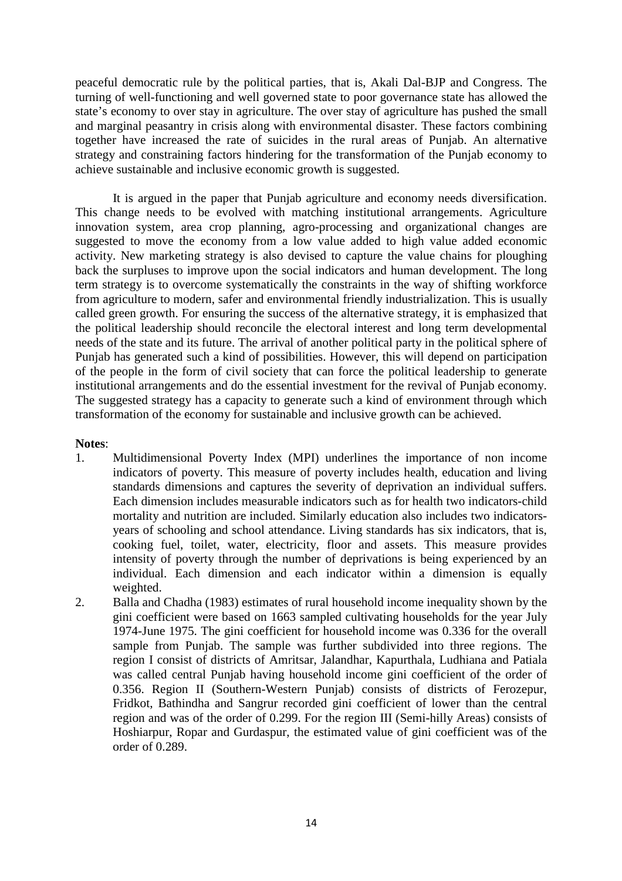peaceful democratic rule by the political parties, that is, Akali Dal-BJP and Congress. The turning of well-functioning and well governed state to poor governance state has allowed the state's economy to over stay in agriculture. The over stay of agriculture has pushed the small and marginal peasantry in crisis along with environmental disaster. These factors combining together have increased the rate of suicides in the rural areas of Punjab. An alternative strategy and constraining factors hindering for the transformation of the Punjab economy to achieve sustainable and inclusive economic growth is suggested.

It is argued in the paper that Punjab agriculture and economy needs diversification. This change needs to be evolved with matching institutional arrangements. Agriculture innovation system, area crop planning, agro-processing and organizational changes are suggested to move the economy from a low value added to high value added economic activity. New marketing strategy is also devised to capture the value chains for ploughing back the surpluses to improve upon the social indicators and human development. The long term strategy is to overcome systematically the constraints in the way of shifting workforce from agriculture to modern, safer and environmental friendly industrialization. This is usually called green growth. For ensuring the success of the alternative strategy, it is emphasized that the political leadership should reconcile the electoral interest and long term developmental needs of the state and its future. The arrival of another political party in the political sphere of Punjab has generated such a kind of possibilities. However, this will depend on participation of the people in the form of civil society that can force the political leadership to generate institutional arrangements and do the essential investment for the revival of Punjab economy. The suggested strategy has a capacity to generate such a kind of environment through which transformation of the economy for sustainable and inclusive growth can be achieved.

## **Notes**:

- 1. Multidimensional Poverty Index (MPI) underlines the importance of non income indicators of poverty. This measure of poverty includes health, education and living standards dimensions and captures the severity of deprivation an individual suffers. Each dimension includes measurable indicators such as for health two indicators-child mortality and nutrition are included. Similarly education also includes two indicatorsyears of schooling and school attendance. Living standards has six indicators, that is, cooking fuel, toilet, water, electricity, floor and assets. This measure provides intensity of poverty through the number of deprivations is being experienced by an individual. Each dimension and each indicator within a dimension is equally weighted.
- 2. Balla and Chadha (1983) estimates of rural household income inequality shown by the gini coefficient were based on 1663 sampled cultivating households for the year July 1974-June 1975. The gini coefficient for household income was 0.336 for the overall sample from Punjab. The sample was further subdivided into three regions. The region I consist of districts of Amritsar, Jalandhar, Kapurthala, Ludhiana and Patiala was called central Punjab having household income gini coefficient of the order of 0.356. Region II (Southern-Western Punjab) consists of districts of Ferozepur, Fridkot, Bathindha and Sangrur recorded gini coefficient of lower than the central region and was of the order of 0.299. For the region III (Semi-hilly Areas) consists of Hoshiarpur, Ropar and Gurdaspur, the estimated value of gini coefficient was of the order of 0.289.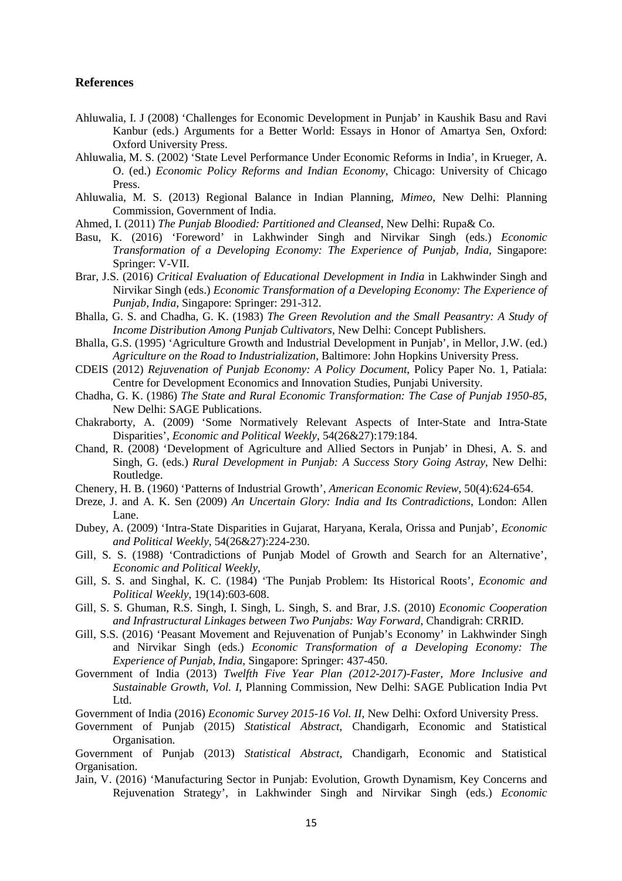#### **References**

- Ahluwalia, I. J (2008) 'Challenges for Economic Development in Punjab' in Kaushik Basu and Ravi Kanbur (eds.) Arguments for a Better World: Essays in Honor of Amartya Sen, Oxford: Oxford University Press.
- Ahluwalia, M. S. (2002) 'State Level Performance Under Economic Reforms in India', in Krueger, A. O. (ed.) *Economic Policy Reforms and Indian Economy*, Chicago: University of Chicago Press.
- Ahluwalia, M. S. (2013) Regional Balance in Indian Planning, *Mimeo*, New Delhi: Planning Commission, Government of India.
- Ahmed, I. (2011) *The Punjab Bloodied: Partitioned and Cleansed*, New Delhi: Rupa& Co.
- Basu, K. (2016) 'Foreword' in Lakhwinder Singh and Nirvikar Singh (eds.) *Economic Transformation of a Developing Economy: The Experience of Punjab, India*, Singapore: Springer: V-VII.
- Brar, J.S. (2016) *Critical Evaluation of Educational Development in India* in Lakhwinder Singh and Nirvikar Singh (eds.) *Economic Transformation of a Developing Economy: The Experience of Punjab, India*, Singapore: Springer: 291-312.
- Bhalla, G. S. and Chadha, G. K. (1983) *The Green Revolution and the Small Peasantry: A Study of Income Distribution Among Punjab Cultivators*, New Delhi: Concept Publishers.
- Bhalla, G.S. (1995) 'Agriculture Growth and Industrial Development in Punjab', in Mellor, J.W. (ed.) *Agriculture on the Road to Industrialization*, Baltimore: John Hopkins University Press.
- CDEIS (2012) *Rejuvenation of Punjab Economy: A Policy Document*, Policy Paper No. 1, Patiala: Centre for Development Economics and Innovation Studies, Punjabi University.
- Chadha, G. K. (1986) *The State and Rural Economic Transformation: The Case of Punjab 1950-85*, New Delhi: SAGE Publications.
- Chakraborty, A. (2009) 'Some Normatively Relevant Aspects of Inter-State and Intra-State Disparities', *Economic and Political Weekly*, 54(26&27):179:184.
- Chand, R. (2008) 'Development of Agriculture and Allied Sectors in Punjab' in Dhesi, A. S. and Singh, G. (eds.) *Rural Development in Punjab: A Success Story Going Astray*, New Delhi: Routledge.
- Chenery, H. B. (1960) 'Patterns of Industrial Growth', *American Economic Review*, 50(4):624-654.
- Dreze, J. and A. K. Sen (2009) *An Uncertain Glory: India and Its Contradictions*, London: Allen Lane.
- Dubey, A. (2009) 'Intra-State Disparities in Gujarat, Haryana, Kerala, Orissa and Punjab', *Economic and Political Weekly*, 54(26&27):224-230.
- Gill, S. S. (1988) 'Contradictions of Punjab Model of Growth and Search for an Alternative', *Economic and Political Weekly*,
- Gill, S. S. and Singhal, K. C. (1984) 'The Punjab Problem: Its Historical Roots', *Economic and Political Weekly*, 19(14):603-608.
- Gill, S. S. Ghuman, R.S. Singh, I. Singh, L. Singh, S. and Brar, J.S. (2010) *Economic Cooperation and Infrastructural Linkages between Two Punjabs: Way Forward*, Chandigrah: CRRID.
- Gill, S.S. (2016) 'Peasant Movement and Rejuvenation of Punjab's Economy' in Lakhwinder Singh and Nirvikar Singh (eds.) *Economic Transformation of a Developing Economy: The Experience of Punjab, India*, Singapore: Springer: 437-450.
- Government of India (2013) *Twelfth Five Year Plan (2012-2017)-Faster, More Inclusive and Sustainable Growth, Vol. I*, Planning Commission, New Delhi: SAGE Publication India Pvt Ltd.
- Government of India (2016) *Economic Survey 2015-16 Vol. II*, New Delhi: Oxford University Press.
- Government of Punjab (2015) *Statistical Abstract*, Chandigarh, Economic and Statistical Organisation.

Government of Punjab (2013) *Statistical Abstract*, Chandigarh, Economic and Statistical Organisation.

Jain, V. (2016) 'Manufacturing Sector in Punjab: Evolution, Growth Dynamism, Key Concerns and Rejuvenation Strategy', in Lakhwinder Singh and Nirvikar Singh (eds.) *Economic*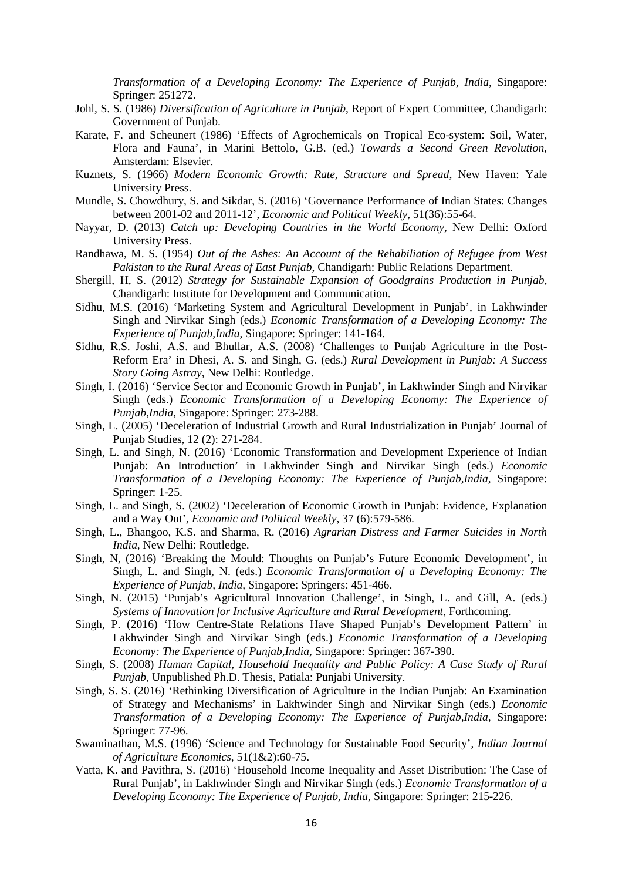*Transformation of a Developing Economy: The Experience of Punjab, India*, Singapore: Springer: 251272.

- Johl, S. S. (1986) *Diversification of Agriculture in Punjab*, Report of Expert Committee, Chandigarh: Government of Punjab.
- Karate, F. and Scheunert (1986) 'Effects of Agrochemicals on Tropical Eco-system: Soil, Water, Flora and Fauna', in Marini Bettolo, G.B. (ed.) *Towards a Second Green Revolution*, Amsterdam: Elsevier.
- Kuznets, S. (1966) *Modern Economic Growth: Rate, Structure and Spread*, New Haven: Yale University Press.
- Mundle, S. Chowdhury, S. and Sikdar, S. (2016) 'Governance Performance of Indian States: Changes between 2001-02 and 2011-12', *Economic and Political Weekly*, 51(36):55-64.
- Nayyar, D. (2013) *Catch up: Developing Countries in the World Economy*, New Delhi: Oxford University Press.
- Randhawa, M. S. (1954) *Out of the Ashes: An Account of the Rehabiliation of Refugee from West Pakistan to the Rural Areas of East Punjab*, Chandigarh: Public Relations Department.
- Shergill, H, S. (2012) *Strategy for Sustainable Expansion of Goodgrains Production in Punjab*, Chandigarh: Institute for Development and Communication.
- Sidhu, M.S. (2016) 'Marketing System and Agricultural Development in Punjab', in Lakhwinder Singh and Nirvikar Singh (eds.) *Economic Transformation of a Developing Economy: The Experience of Punjab,India*, Singapore: Springer: 141-164.
- Sidhu, R.S. Joshi, A.S. and Bhullar, A.S. (2008) 'Challenges to Punjab Agriculture in the Post-Reform Era' in Dhesi, A. S. and Singh, G. (eds.) *Rural Development in Punjab: A Success Story Going Astray*, New Delhi: Routledge.
- Singh, I. (2016) 'Service Sector and Economic Growth in Punjab', in Lakhwinder Singh and Nirvikar Singh (eds.) *Economic Transformation of a Developing Economy: The Experience of Punjab,India*, Singapore: Springer: 273-288.
- Singh, L. (2005) 'Deceleration of Industrial Growth and Rural Industrialization in Punjab' Journal of Punjab Studies, 12 (2): 271-284.
- Singh, L. and Singh, N. (2016) 'Economic Transformation and Development Experience of Indian Punjab: An Introduction' in Lakhwinder Singh and Nirvikar Singh (eds.) *Economic Transformation of a Developing Economy: The Experience of Punjab,India*, Singapore: Springer: 1-25.
- Singh, L. and Singh, S. (2002) 'Deceleration of Economic Growth in Punjab: Evidence, Explanation and a Way Out', *Economic and Political Weekly*, 37 (6):579-586.
- Singh, L., Bhangoo, K.S. and Sharma, R. (2016) *Agrarian Distress and Farmer Suicides in North India*, New Delhi: Routledge.
- Singh, N, (2016) 'Breaking the Mould: Thoughts on Punjab's Future Economic Development', in Singh, L. and Singh, N. (eds.) *Economic Transformation of a Developing Economy: The Experience of Punjab, India,* Singapore: Springers: 451-466.
- Singh, N. (2015) 'Punjab's Agricultural Innovation Challenge', in Singh, L. and Gill, A. (eds.) *Systems of Innovation for Inclusive Agriculture and Rural Development*, Forthcoming.
- Singh, P. (2016) 'How Centre-State Relations Have Shaped Punjab's Development Pattern' in Lakhwinder Singh and Nirvikar Singh (eds.) *Economic Transformation of a Developing Economy: The Experience of Punjab,India*, Singapore: Springer: 367-390.
- Singh, S. (2008) *Human Capital, Household Inequality and Public Policy: A Case Study of Rural Punjab,* Unpublished Ph.D. Thesis, Patiala: Punjabi University.
- Singh, S. S. (2016) 'Rethinking Diversification of Agriculture in the Indian Punjab: An Examination of Strategy and Mechanisms' in Lakhwinder Singh and Nirvikar Singh (eds.) *Economic Transformation of a Developing Economy: The Experience of Punjab,India*, Singapore: Springer: 77-96.
- Swaminathan, M.S. (1996) 'Science and Technology for Sustainable Food Security', *Indian Journal of Agriculture Economics*, 51(1&2):60-75.
- Vatta, K. and Pavithra, S. (2016) 'Household Income Inequality and Asset Distribution: The Case of Rural Punjab', in Lakhwinder Singh and Nirvikar Singh (eds.) *Economic Transformation of a Developing Economy: The Experience of Punjab, India*, Singapore: Springer: 215-226.